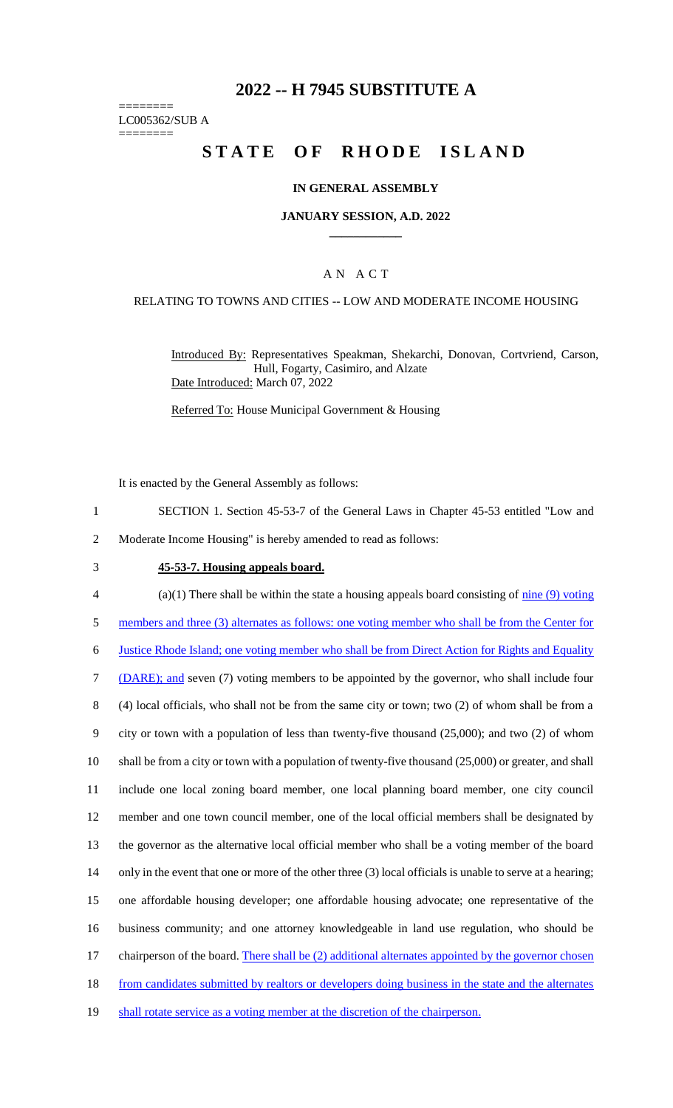# **2022 -- H 7945 SUBSTITUTE A**

======== LC005362/SUB A

========

# **STATE OF RHODE ISLAND**

#### **IN GENERAL ASSEMBLY**

#### **JANUARY SESSION, A.D. 2022 \_\_\_\_\_\_\_\_\_\_\_\_**

## A N A C T

#### RELATING TO TOWNS AND CITIES -- LOW AND MODERATE INCOME HOUSING

Introduced By: Representatives Speakman, Shekarchi, Donovan, Cortvriend, Carson, Hull, Fogarty, Casimiro, and Alzate Date Introduced: March 07, 2022

Referred To: House Municipal Government & Housing

It is enacted by the General Assembly as follows:

- 1 SECTION 1. Section 45-53-7 of the General Laws in Chapter 45-53 entitled "Low and
- 2 Moderate Income Housing" is hereby amended to read as follows:
- 3 **45-53-7. Housing appeals board.**
- $4$  (a)(1) There shall be within the state a housing appeals board consisting of  $\frac{\text{nine (9) voting}}{\text{m}$
- 5 members and three (3) alternates as follows: one voting member who shall be from the Center for
- 6 Justice Rhode Island; one voting member who shall be from Direct Action for Rights and Equality

7 (DARE); and seven (7) voting members to be appointed by the governor, who shall include four

8 (4) local officials, who shall not be from the same city or town; two (2) of whom shall be from a

9 city or town with a population of less than twenty-five thousand (25,000); and two (2) of whom

10 shall be from a city or town with a population of twenty-five thousand (25,000) or greater, and shall

11 include one local zoning board member, one local planning board member, one city council

12 member and one town council member, one of the local official members shall be designated by

13 the governor as the alternative local official member who shall be a voting member of the board

14 only in the event that one or more of the other three (3) local officials is unable to serve at a hearing;

15 one affordable housing developer; one affordable housing advocate; one representative of the

16 business community; and one attorney knowledgeable in land use regulation, who should be

- 17 chairperson of the board. There shall be (2) additional alternates appointed by the governor chosen
- 18 from candidates submitted by realtors or developers doing business in the state and the alternates
- 19 shall rotate service as a voting member at the discretion of the chairperson.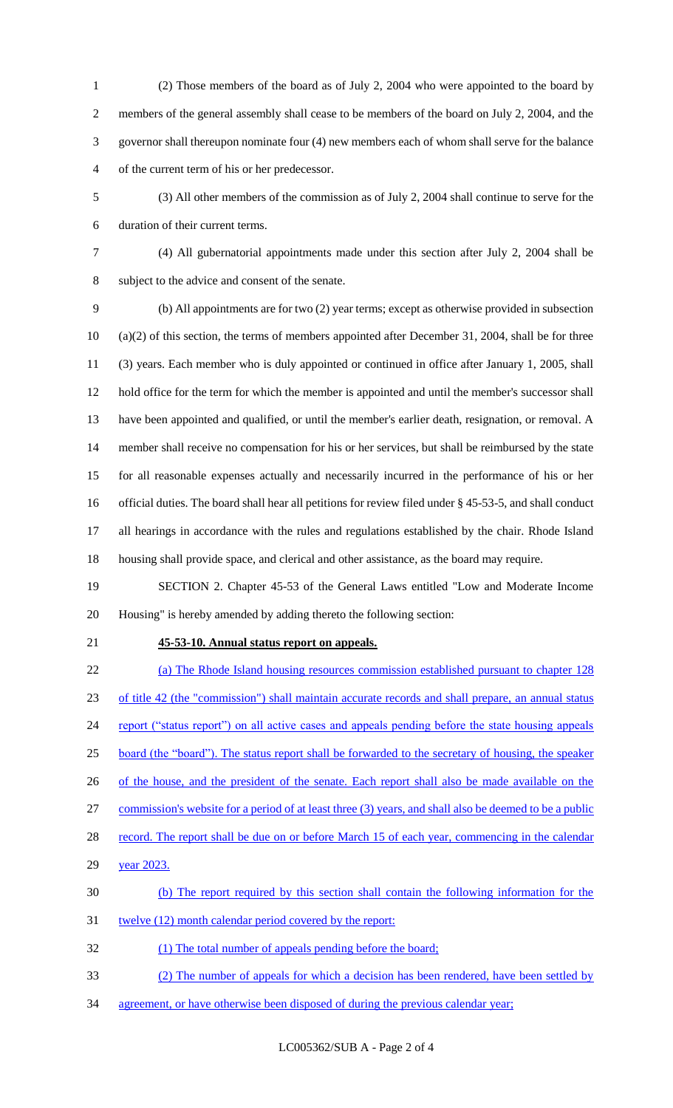- (2) Those members of the board as of July 2, 2004 who were appointed to the board by members of the general assembly shall cease to be members of the board on July 2, 2004, and the governor shall thereupon nominate four (4) new members each of whom shall serve for the balance of the current term of his or her predecessor.
- (3) All other members of the commission as of July 2, 2004 shall continue to serve for the duration of their current terms.
- 

 (4) All gubernatorial appointments made under this section after July 2, 2004 shall be subject to the advice and consent of the senate.

 (b) All appointments are for two (2) year terms; except as otherwise provided in subsection (a)(2) of this section, the terms of members appointed after December 31, 2004, shall be for three (3) years. Each member who is duly appointed or continued in office after January 1, 2005, shall hold office for the term for which the member is appointed and until the member's successor shall have been appointed and qualified, or until the member's earlier death, resignation, or removal. A member shall receive no compensation for his or her services, but shall be reimbursed by the state for all reasonable expenses actually and necessarily incurred in the performance of his or her official duties. The board shall hear all petitions for review filed under § 45-53-5, and shall conduct all hearings in accordance with the rules and regulations established by the chair. Rhode Island housing shall provide space, and clerical and other assistance, as the board may require.

 SECTION 2. Chapter 45-53 of the General Laws entitled "Low and Moderate Income Housing" is hereby amended by adding thereto the following section:

## **45-53-10. Annual status report on appeals.**

 (a) The Rhode Island housing resources commission established pursuant to chapter 128 of title 42 (the "commission") shall maintain accurate records and shall prepare, an annual status 24 report ("status report") on all active cases and appeals pending before the state housing appeals board (the "board"). The status report shall be forwarded to the secretary of housing, the speaker 26 of the house, and the president of the senate. Each report shall also be made available on the commission's website for a period of at least three (3) years, and shall also be deemed to be a public 28 record. The report shall be due on or before March 15 of each year, commencing in the calendar 29 year 2023. (b) The report required by this section shall contain the following information for the 31 twelve (12) month calendar period covered by the report: (1) The total number of appeals pending before the board; (2) The number of appeals for which a decision has been rendered, have been settled by

agreement, or have otherwise been disposed of during the previous calendar year;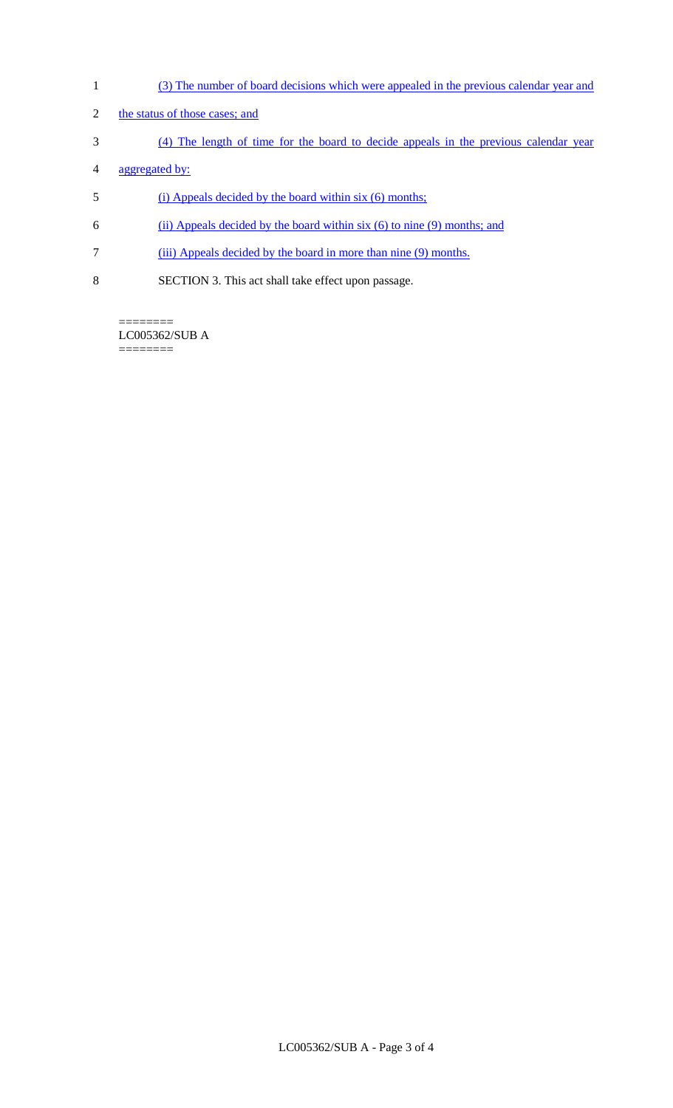- 1 (3) The number of board decisions which were appealed in the previous calendar year and
- 2 the status of those cases; and
- 3 (4) The length of time for the board to decide appeals in the previous calendar year
- 4 aggregated by:
- 5 (i) Appeals decided by the board within six (6) months;
- 6 (ii) Appeals decided by the board within six (6) to nine (9) months; and
- 7 (iii) Appeals decided by the board in more than nine (9) months.
- 8 SECTION 3. This act shall take effect upon passage.

======== LC005362/SUB A  $=$